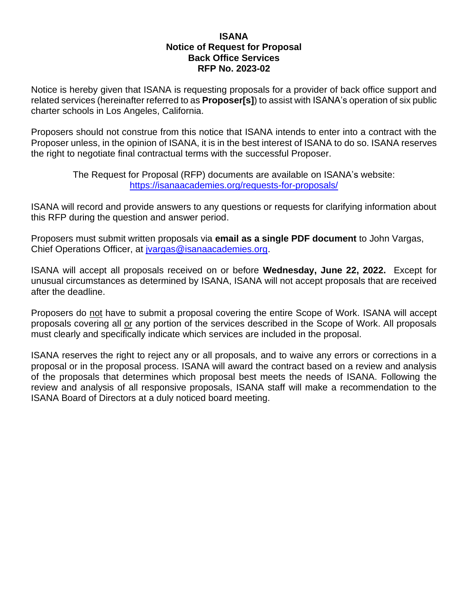#### **ISANA Notice of Request for Proposal Back Office Services RFP No. 2023-02**

Notice is hereby given that ISANA is requesting proposals for a provider of back office support and related services (hereinafter referred to as **Proposer[s]**) to assist with ISANA's operation of six public charter schools in Los Angeles, California.

Proposers should not construe from this notice that ISANA intends to enter into a contract with the Proposer unless, in the opinion of ISANA, it is in the best interest of ISANA to do so. ISANA reserves the right to negotiate final contractual terms with the successful Proposer.

> The Request for Proposal (RFP) documents are available on ISANA's website: <https://isanaacademies.org/requests-for-proposals/>

ISANA will record and provide answers to any questions or requests for clarifying information about this RFP during the question and answer period.

Proposers must submit written proposals via **email as a single PDF document** to John Vargas, Chief Operations Officer, at [jvargas@isanaacademies.org.](mailto:jvargas@isanaacademies.org)

ISANA will accept all proposals received on or before **Wednesday, June 22, 2022.** Except for unusual circumstances as determined by ISANA, ISANA will not accept proposals that are received after the deadline.

Proposers do not have to submit a proposal covering the entire Scope of Work. ISANA will accept proposals covering all or any portion of the services described in the Scope of Work. All proposals must clearly and specifically indicate which services are included in the proposal.

ISANA reserves the right to reject any or all proposals, and to waive any errors or corrections in a proposal or in the proposal process. ISANA will award the contract based on a review and analysis of the proposals that determines which proposal best meets the needs of ISANA. Following the review and analysis of all responsive proposals, ISANA staff will make a recommendation to the ISANA Board of Directors at a duly noticed board meeting.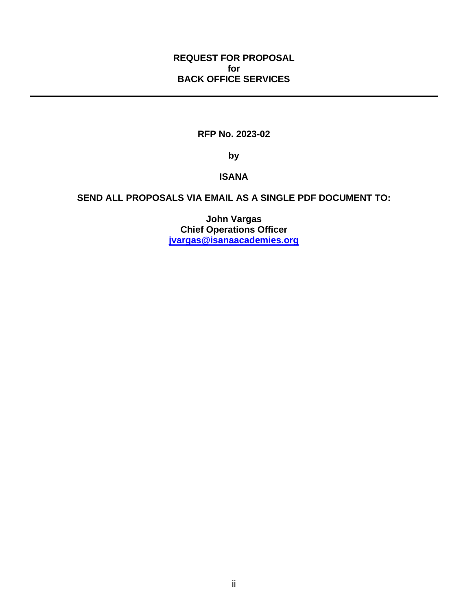#### **REQUEST FOR PROPOSAL for BACK OFFICE SERVICES**

## **RFP No. 2023-02**

**by**

#### **ISANA**

# **SEND ALL PROPOSALS VIA EMAIL AS A SINGLE PDF DOCUMENT TO:**

**John Vargas Chief Operations Officer [jvargas@isanaacademies.org](mailto:jvargas@isanaacademies.org)**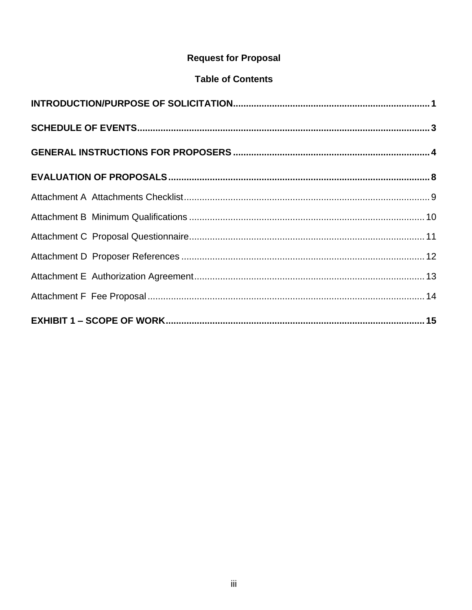# **Request for Proposal**

# **Table of Contents**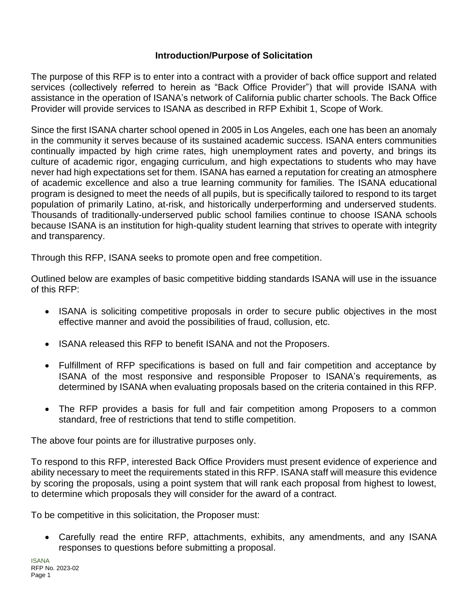#### **Introduction/Purpose of Solicitation**

<span id="page-3-0"></span>The purpose of this RFP is to enter into a contract with a provider of back office support and related services (collectively referred to herein as "Back Office Provider") that will provide ISANA with assistance in the operation of ISANA's network of California public charter schools. The Back Office Provider will provide services to ISANA as described in RFP Exhibit 1, Scope of Work.

Since the first ISANA charter school opened in 2005 in Los Angeles, each one has been an anomaly in the community it serves because of its sustained academic success. ISANA enters communities continually impacted by high crime rates, high unemployment rates and poverty, and brings its culture of academic rigor, engaging curriculum, and high expectations to students who may have never had high expectations set for them. ISANA has earned a reputation for creating an atmosphere of academic excellence and also a true learning community for families. The ISANA educational program is designed to meet the needs of all pupils, but is specifically tailored to respond to its target population of primarily Latino, at-risk, and historically underperforming and underserved students. Thousands of traditionally-underserved public school families continue to choose ISANA schools because ISANA is an institution for high-quality student learning that strives to operate with integrity and transparency.

Through this RFP, ISANA seeks to promote open and free competition.

Outlined below are examples of basic competitive bidding standards ISANA will use in the issuance of this RFP:

- ISANA is soliciting competitive proposals in order to secure public objectives in the most effective manner and avoid the possibilities of fraud, collusion, etc.
- ISANA released this RFP to benefit ISANA and not the Proposers.
- Fulfillment of RFP specifications is based on full and fair competition and acceptance by ISANA of the most responsive and responsible Proposer to ISANA's requirements, as determined by ISANA when evaluating proposals based on the criteria contained in this RFP.
- The RFP provides a basis for full and fair competition among Proposers to a common standard, free of restrictions that tend to stifle competition.

The above four points are for illustrative purposes only.

To respond to this RFP, interested Back Office Providers must present evidence of experience and ability necessary to meet the requirements stated in this RFP. ISANA staff will measure this evidence by scoring the proposals, using a point system that will rank each proposal from highest to lowest, to determine which proposals they will consider for the award of a contract.

To be competitive in this solicitation, the Proposer must:

• Carefully read the entire RFP, attachments, exhibits, any amendments, and any ISANA responses to questions before submitting a proposal.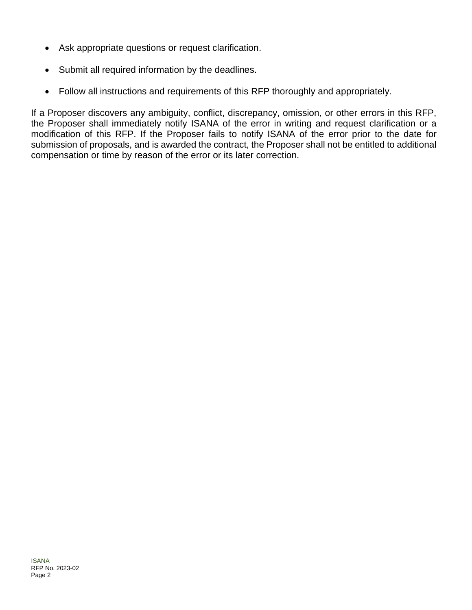- Ask appropriate questions or request clarification.
- Submit all required information by the deadlines.
- Follow all instructions and requirements of this RFP thoroughly and appropriately.

If a Proposer discovers any ambiguity, conflict, discrepancy, omission, or other errors in this RFP, the Proposer shall immediately notify ISANA of the error in writing and request clarification or a modification of this RFP. If the Proposer fails to notify ISANA of the error prior to the date for submission of proposals, and is awarded the contract, the Proposer shall not be entitled to additional compensation or time by reason of the error or its later correction.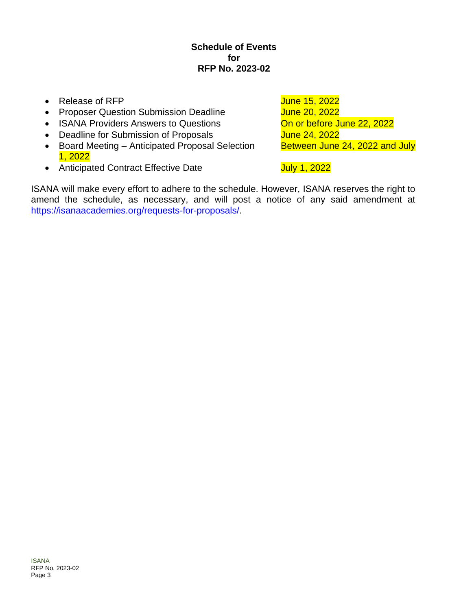#### **Schedule of Events for RFP No. 2023-02**

- <span id="page-5-0"></span>• Release of RFP **June 15, 2022**
- Proposer Question Submission Deadline June 20, 2022
- ISANA Providers Answers to Questions **On or before June 22, 2022**
- Deadline for Submission of Proposals June 24, 2022
- Board Meeting Anticipated Proposal Selection Between June 24, 2022 and July 1, 2022
- Anticipated Contract Effective Date Manuel 2022

ISANA will make every effort to adhere to the schedule. However, ISANA reserves the right to amend the schedule, as necessary, and will post a notice of any said amendment at [https://isanaacademies.org/requests-for-proposals/.](https://isanaacademies.org/requests-for-proposals/)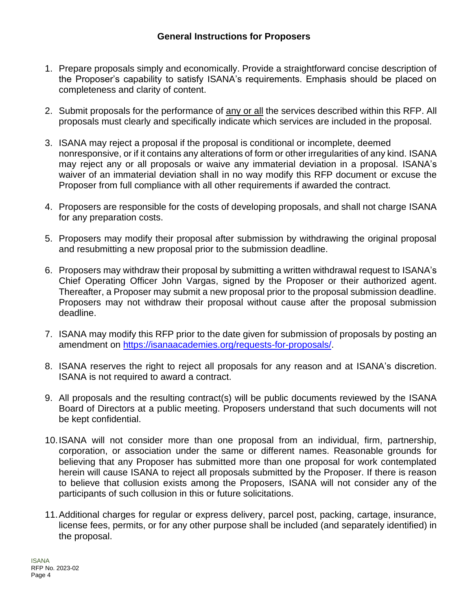- <span id="page-6-0"></span>1. Prepare proposals simply and economically. Provide a straightforward concise description of the Proposer's capability to satisfy ISANA's requirements. Emphasis should be placed on completeness and clarity of content.
- 2. Submit proposals for the performance of any or all the services described within this RFP. All proposals must clearly and specifically indicate which services are included in the proposal.
- 3. ISANA may reject a proposal if the proposal is conditional or incomplete, deemed nonresponsive, or if it contains any alterations of form or other irregularities of any kind. ISANA may reject any or all proposals or waive any immaterial deviation in a proposal. ISANA's waiver of an immaterial deviation shall in no way modify this RFP document or excuse the Proposer from full compliance with all other requirements if awarded the contract.
- 4. Proposers are responsible for the costs of developing proposals, and shall not charge ISANA for any preparation costs.
- 5. Proposers may modify their proposal after submission by withdrawing the original proposal and resubmitting a new proposal prior to the submission deadline.
- 6. Proposers may withdraw their proposal by submitting a written withdrawal request to ISANA's Chief Operating Officer John Vargas, signed by the Proposer or their authorized agent. Thereafter, a Proposer may submit a new proposal prior to the proposal submission deadline. Proposers may not withdraw their proposal without cause after the proposal submission deadline.
- 7. ISANA may modify this RFP prior to the date given for submission of proposals by posting an amendment on [https://isanaacademies.org/requests-for-proposals/.](https://isanaacademies.org/requests-for-proposals/)
- 8. ISANA reserves the right to reject all proposals for any reason and at ISANA's discretion. ISANA is not required to award a contract.
- 9. All proposals and the resulting contract(s) will be public documents reviewed by the ISANA Board of Directors at a public meeting. Proposers understand that such documents will not be kept confidential.
- 10.ISANA will not consider more than one proposal from an individual, firm, partnership, corporation, or association under the same or different names. Reasonable grounds for believing that any Proposer has submitted more than one proposal for work contemplated herein will cause ISANA to reject all proposals submitted by the Proposer. If there is reason to believe that collusion exists among the Proposers, ISANA will not consider any of the participants of such collusion in this or future solicitations.
- 11.Additional charges for regular or express delivery, parcel post, packing, cartage, insurance, license fees, permits, or for any other purpose shall be included (and separately identified) in the proposal.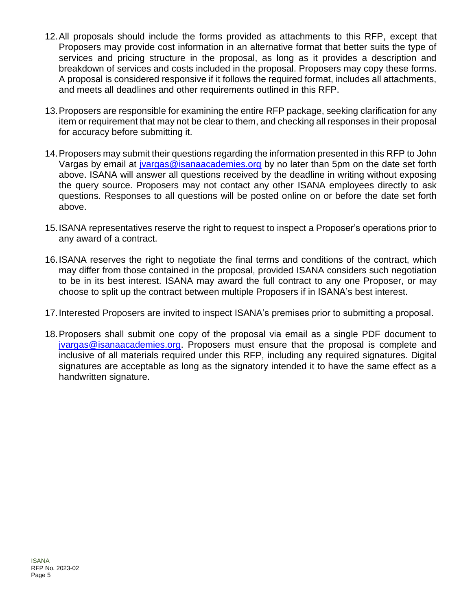- 12.All proposals should include the forms provided as attachments to this RFP, except that Proposers may provide cost information in an alternative format that better suits the type of services and pricing structure in the proposal, as long as it provides a description and breakdown of services and costs included in the proposal. Proposers may copy these forms. A proposal is considered responsive if it follows the required format, includes all attachments, and meets all deadlines and other requirements outlined in this RFP.
- 13.Proposers are responsible for examining the entire RFP package, seeking clarification for any item or requirement that may not be clear to them, and checking all responses in their proposal for accuracy before submitting it.
- 14.Proposers may submit their questions regarding the information presented in this RFP to John Vargas by email at [jvargas@isanaacademies.org](mailto:jvargas@isanaacademies.org) by no later than 5pm on the date set forth above. ISANA will answer all questions received by the deadline in writing without exposing the query source. Proposers may not contact any other ISANA employees directly to ask questions. Responses to all questions will be posted online on or before the date set forth above.
- 15.ISANA representatives reserve the right to request to inspect a Proposer's operations prior to any award of a contract.
- 16.ISANA reserves the right to negotiate the final terms and conditions of the contract, which may differ from those contained in the proposal, provided ISANA considers such negotiation to be in its best interest. ISANA may award the full contract to any one Proposer, or may choose to split up the contract between multiple Proposers if in ISANA's best interest.
- 17.Interested Proposers are invited to inspect ISANA's premises prior to submitting a proposal.
- 18.Proposers shall submit one copy of the proposal via email as a single PDF document to [jvargas@isanaacademies.org.](mailto:jvargas@isanaacademies.org) Proposers must ensure that the proposal is complete and inclusive of all materials required under this RFP, including any required signatures. Digital signatures are acceptable as long as the signatory intended it to have the same effect as a handwritten signature.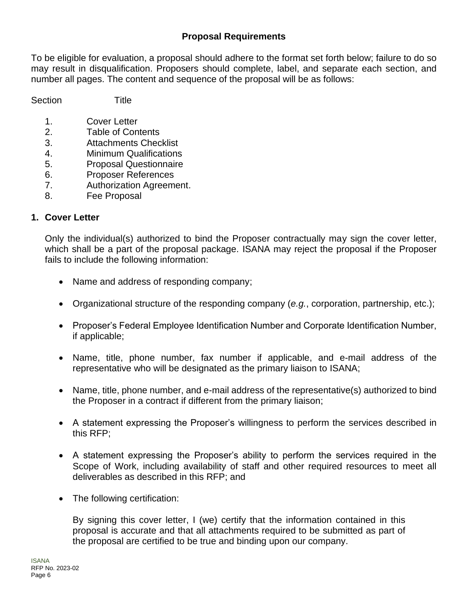## **Proposal Requirements**

To be eligible for evaluation, a proposal should adhere to the format set forth below; failure to do so may result in disqualification. Proposers should complete, label, and separate each section, and number all pages. The content and sequence of the proposal will be as follows:

Section Title

1. Cover Letter

- 2. Table of Contents
- 3. Attachments Checklist
- 4. Minimum Qualifications
- 5. Proposal Questionnaire
- 6. Proposer References
- 7. Authorization Agreement.
- 8. Fee Proposal

#### **1. Cover Letter**

Only the individual(s) authorized to bind the Proposer contractually may sign the cover letter, which shall be a part of the proposal package. ISANA may reject the proposal if the Proposer fails to include the following information:

- Name and address of responding company;
- Organizational structure of the responding company (*e.g.*, corporation, partnership, etc.);
- Proposer's Federal Employee Identification Number and Corporate Identification Number, if applicable;
- Name, title, phone number, fax number if applicable, and e-mail address of the representative who will be designated as the primary liaison to ISANA;
- Name, title, phone number, and e-mail address of the representative(s) authorized to bind the Proposer in a contract if different from the primary liaison;
- A statement expressing the Proposer's willingness to perform the services described in this RFP;
- A statement expressing the Proposer's ability to perform the services required in the Scope of Work, including availability of staff and other required resources to meet all deliverables as described in this RFP; and
- The following certification:

By signing this cover letter, I (we) certify that the information contained in this proposal is accurate and that all attachments required to be submitted as part of the proposal are certified to be true and binding upon our company.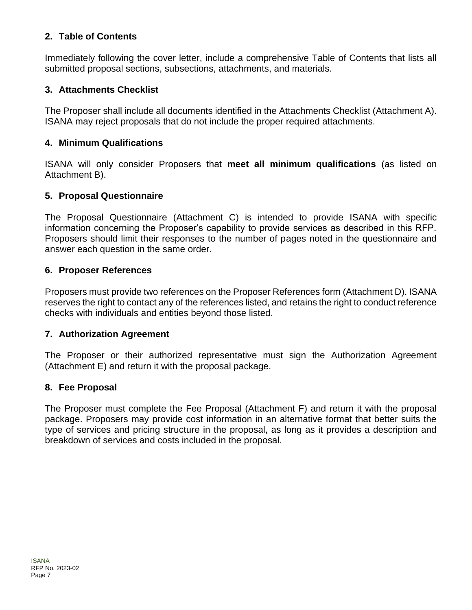## **2. Table of Contents**

Immediately following the cover letter, include a comprehensive Table of Contents that lists all submitted proposal sections, subsections, attachments, and materials.

## **3. Attachments Checklist**

The Proposer shall include all documents identified in the Attachments Checklist (Attachment A). ISANA may reject proposals that do not include the proper required attachments.

## **4. Minimum Qualifications**

ISANA will only consider Proposers that **meet all minimum qualifications** (as listed on Attachment B).

# **5. Proposal Questionnaire**

The Proposal Questionnaire (Attachment C) is intended to provide ISANA with specific information concerning the Proposer's capability to provide services as described in this RFP. Proposers should limit their responses to the number of pages noted in the questionnaire and answer each question in the same order.

## **6. Proposer References**

Proposers must provide two references on the Proposer References form (Attachment D). ISANA reserves the right to contact any of the references listed, and retains the right to conduct reference checks with individuals and entities beyond those listed.

## **7. Authorization Agreement**

The Proposer or their authorized representative must sign the Authorization Agreement (Attachment E) and return it with the proposal package.

## **8. Fee Proposal**

The Proposer must complete the Fee Proposal (Attachment F) and return it with the proposal package. Proposers may provide cost information in an alternative format that better suits the type of services and pricing structure in the proposal, as long as it provides a description and breakdown of services and costs included in the proposal.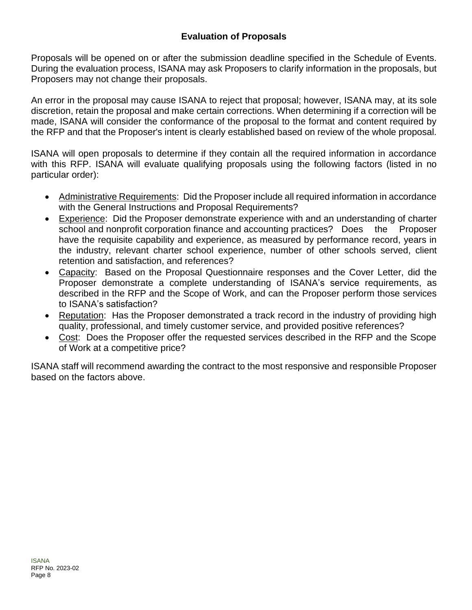## **Evaluation of Proposals**

<span id="page-10-0"></span>Proposals will be opened on or after the submission deadline specified in the Schedule of Events. During the evaluation process, ISANA may ask Proposers to clarify information in the proposals, but Proposers may not change their proposals.

An error in the proposal may cause ISANA to reject that proposal; however, ISANA may, at its sole discretion, retain the proposal and make certain corrections. When determining if a correction will be made, ISANA will consider the conformance of the proposal to the format and content required by the RFP and that the Proposer's intent is clearly established based on review of the whole proposal.

ISANA will open proposals to determine if they contain all the required information in accordance with this RFP. ISANA will evaluate qualifying proposals using the following factors (listed in no particular order):

- Administrative Requirements: Did the Proposer include all required information in accordance with the General Instructions and Proposal Requirements?
- Experience: Did the Proposer demonstrate experience with and an understanding of charter school and nonprofit corporation finance and accounting practices? Does the Proposer have the requisite capability and experience, as measured by performance record, years in the industry, relevant charter school experience, number of other schools served, client retention and satisfaction, and references?
- Capacity: Based on the Proposal Questionnaire responses and the Cover Letter, did the Proposer demonstrate a complete understanding of ISANA's service requirements, as described in the RFP and the Scope of Work, and can the Proposer perform those services to ISANA's satisfaction?
- Reputation: Has the Proposer demonstrated a track record in the industry of providing high quality, professional, and timely customer service, and provided positive references?
- Cost: Does the Proposer offer the requested services described in the RFP and the Scope of Work at a competitive price?

ISANA staff will recommend awarding the contract to the most responsive and responsible Proposer based on the factors above.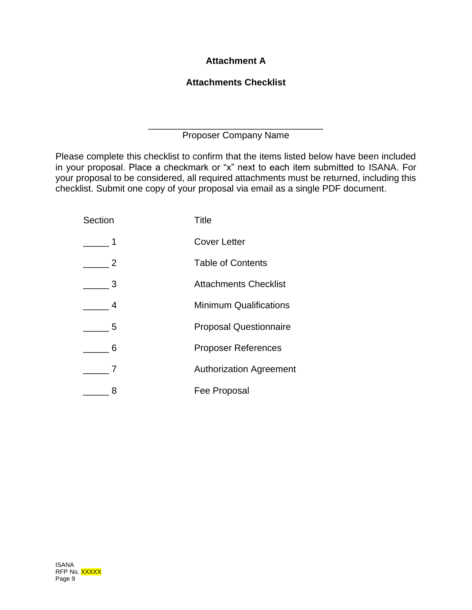# <span id="page-11-0"></span>**Attachment A**

# **Attachments Checklist**

\_\_\_\_\_\_\_\_\_\_\_\_\_\_\_\_\_\_\_\_\_\_\_\_\_\_\_\_\_\_\_\_\_\_ Proposer Company Name

Please complete this checklist to confirm that the items listed below have been included in your proposal. Place a checkmark or "x" next to each item submitted to ISANA. For your proposal to be considered, all required attachments must be returned, including this checklist. Submit one copy of your proposal via email as a single PDF document.

| Section        | Title                          |
|----------------|--------------------------------|
| 1              | <b>Cover Letter</b>            |
| $\overline{2}$ | <b>Table of Contents</b>       |
| 3              | <b>Attachments Checklist</b>   |
| 4              | <b>Minimum Qualifications</b>  |
| 5              | <b>Proposal Questionnaire</b>  |
| 6              | <b>Proposer References</b>     |
|                | <b>Authorization Agreement</b> |
| 8              | Fee Proposal                   |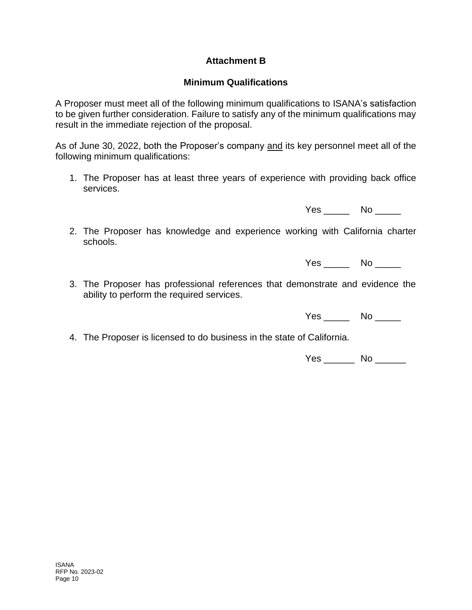## **Attachment B**

## **Minimum Qualifications**

<span id="page-12-0"></span>A Proposer must meet all of the following minimum qualifications to ISANA's satisfaction to be given further consideration. Failure to satisfy any of the minimum qualifications may result in the immediate rejection of the proposal.

As of June 30, 2022, both the Proposer's company and its key personnel meet all of the following minimum qualifications:

1. The Proposer has at least three years of experience with providing back office services.

Yes \_\_\_\_\_\_ No \_\_\_\_\_

2. The Proposer has knowledge and experience working with California charter schools.

Yes \_\_\_\_\_\_ No \_\_\_\_\_

3. The Proposer has professional references that demonstrate and evidence the ability to perform the required services.

Yes \_\_\_\_\_\_ No \_\_\_\_\_

4. The Proposer is licensed to do business in the state of California.

Yes \_\_\_\_\_\_ No \_\_\_\_\_\_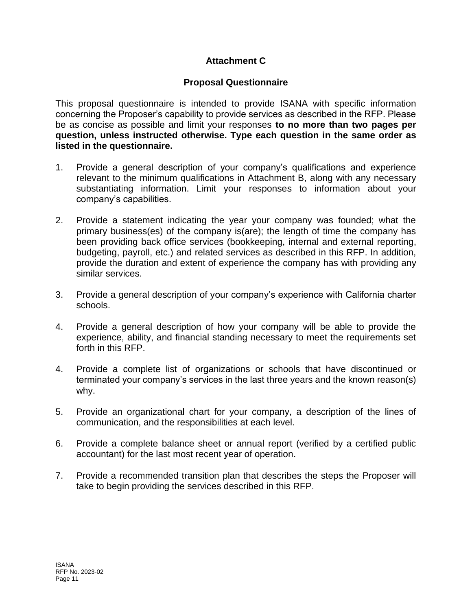# **Attachment C**

## **Proposal Questionnaire**

<span id="page-13-0"></span>This proposal questionnaire is intended to provide ISANA with specific information concerning the Proposer's capability to provide services as described in the RFP. Please be as concise as possible and limit your responses **to no more than two pages per question, unless instructed otherwise. Type each question in the same order as listed in the questionnaire.**

- 1. Provide a general description of your company's qualifications and experience relevant to the minimum qualifications in Attachment B, along with any necessary substantiating information. Limit your responses to information about your company's capabilities.
- 2. Provide a statement indicating the year your company was founded; what the primary business(es) of the company is(are); the length of time the company has been providing back office services (bookkeeping, internal and external reporting, budgeting, payroll, etc.) and related services as described in this RFP. In addition, provide the duration and extent of experience the company has with providing any similar services.
- 3. Provide a general description of your company's experience with California charter schools.
- 4. Provide a general description of how your company will be able to provide the experience, ability, and financial standing necessary to meet the requirements set forth in this RFP.
- 4. Provide a complete list of organizations or schools that have discontinued or terminated your company's services in the last three years and the known reason(s) why.
- 5. Provide an organizational chart for your company, a description of the lines of communication, and the responsibilities at each level.
- 6. Provide a complete balance sheet or annual report (verified by a certified public accountant) for the last most recent year of operation.
- 7. Provide a recommended transition plan that describes the steps the Proposer will take to begin providing the services described in this RFP.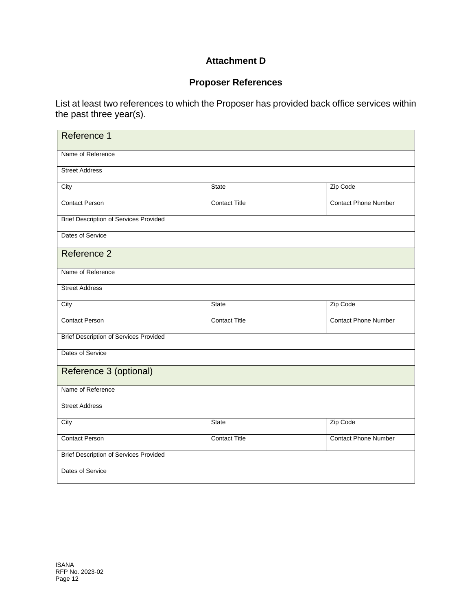## **Attachment D**

# **Proposer References**

<span id="page-14-0"></span>List at least two references to which the Proposer has provided back office services within the past three year(s).

| Reference 1                                   |                      |                             |  |  |
|-----------------------------------------------|----------------------|-----------------------------|--|--|
| Name of Reference                             |                      |                             |  |  |
| <b>Street Address</b>                         |                      |                             |  |  |
| City                                          | <b>State</b>         | Zip Code                    |  |  |
| <b>Contact Person</b>                         | <b>Contact Title</b> | <b>Contact Phone Number</b> |  |  |
| <b>Brief Description of Services Provided</b> |                      |                             |  |  |
| Dates of Service                              |                      |                             |  |  |
| Reference 2                                   |                      |                             |  |  |
| Name of Reference                             |                      |                             |  |  |
| <b>Street Address</b>                         |                      |                             |  |  |
| City                                          | <b>State</b>         | Zip Code                    |  |  |
| <b>Contact Person</b>                         | <b>Contact Title</b> | <b>Contact Phone Number</b> |  |  |
| <b>Brief Description of Services Provided</b> |                      |                             |  |  |
| Dates of Service                              |                      |                             |  |  |
| Reference 3 (optional)                        |                      |                             |  |  |
| Name of Reference                             |                      |                             |  |  |
| <b>Street Address</b>                         |                      |                             |  |  |
| City                                          | <b>State</b>         | Zip Code                    |  |  |
| <b>Contact Person</b>                         | <b>Contact Title</b> | <b>Contact Phone Number</b> |  |  |
| <b>Brief Description of Services Provided</b> |                      |                             |  |  |
| Dates of Service                              |                      |                             |  |  |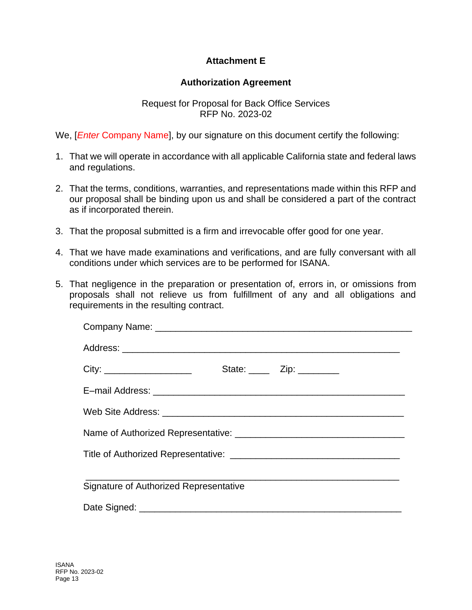## **Attachment E**

#### **Authorization Agreement**

#### Request for Proposal for Back Office Services RFP No. 2023-02

<span id="page-15-0"></span>We, [*Enter* Company Name], by our signature on this document certify the following:

- 1. That we will operate in accordance with all applicable California state and federal laws and regulations.
- 2. That the terms, conditions, warranties, and representations made within this RFP and our proposal shall be binding upon us and shall be considered a part of the contract as if incorporated therein.
- 3. That the proposal submitted is a firm and irrevocable offer good for one year.
- 4. That we have made examinations and verifications, and are fully conversant with all conditions under which services are to be performed for ISANA.
- 5. That negligence in the preparation or presentation of, errors in, or omissions from proposals shall not relieve us from fulfillment of any and all obligations and requirements in the resulting contract.

| State: $\frac{1}{\sqrt{2}}$ Zip: $\frac{1}{\sqrt{2}}$ |
|-------------------------------------------------------|
|                                                       |
|                                                       |
|                                                       |
|                                                       |
| Signature of Authorized Representative                |
|                                                       |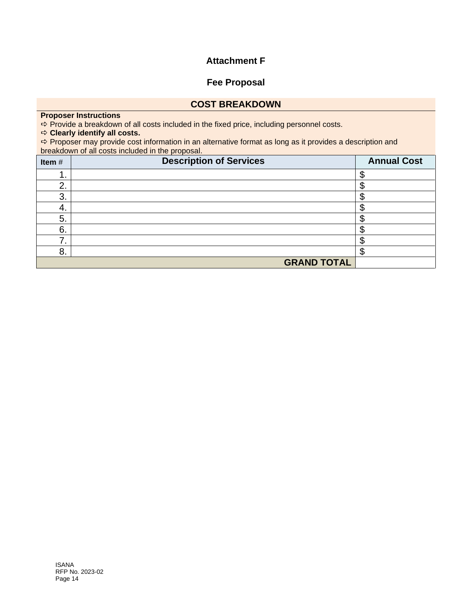#### **Attachment F**

#### **Fee Proposal**

#### **COST BREAKDOWN**

#### <span id="page-16-0"></span>**Proposer Instructions**

 $\Rightarrow$  Provide a breakdown of all costs included in the fixed price, including personnel costs.

#### **Clearly identify all costs.**

 $\Rightarrow$  **Proposer may provide cost information in an alternative format as long as it provides a description and** breakdown of all costs included in the proposal.

| Item#          | <b>Description of Services</b> | <b>Annual Cost</b> |
|----------------|--------------------------------|--------------------|
|                |                                |                    |
| ◠<br><u>z.</u> |                                |                    |
| 3.             |                                |                    |
| 4.             |                                |                    |
| 5.             |                                |                    |
| 6.             |                                |                    |
|                |                                |                    |
| 8.             |                                |                    |
|                | <b>GRAND TOTAL</b>             |                    |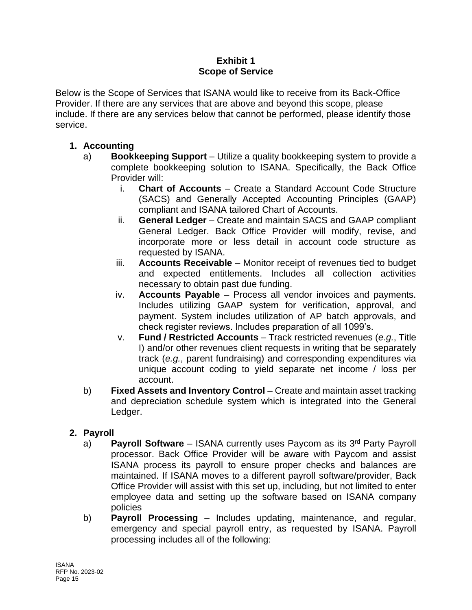#### **Exhibit 1 Scope of Service**

<span id="page-17-0"></span>Below is the Scope of Services that ISANA would like to receive from its Back-Office Provider. If there are any services that are above and beyond this scope, please include. If there are any services below that cannot be performed, please identify those service.

# **1. Accounting**

- a) **Bookkeeping Support** Utilize a quality bookkeeping system to provide a complete bookkeeping solution to ISANA. Specifically, the Back Office Provider will:
	- i. **Chart of Accounts** Create a Standard Account Code Structure (SACS) and Generally Accepted Accounting Principles (GAAP) compliant and ISANA tailored Chart of Accounts.
	- ii. **General Ledger**  Create and maintain SACS and GAAP compliant General Ledger. Back Office Provider will modify, revise, and incorporate more or less detail in account code structure as requested by ISANA.
	- iii. **Accounts Receivable** Monitor receipt of revenues tied to budget and expected entitlements. Includes all collection activities necessary to obtain past due funding.
	- iv. **Accounts Payable** Process all vendor invoices and payments. Includes utilizing GAAP system for verification, approval, and payment. System includes utilization of AP batch approvals, and check register reviews. Includes preparation of all 1099's.
	- v. **Fund / Restricted Accounts** Track restricted revenues (*e.g.*, Title I) and/or other revenues client requests in writing that be separately track (*e.g.*, parent fundraising) and corresponding expenditures via unique account coding to yield separate net income / loss per account.
- b) **Fixed Assets and Inventory Control** Create and maintain asset tracking and depreciation schedule system which is integrated into the General Ledger.

# **2. Payroll**

- a) **Payroll Software** ISANA currently uses Paycom as its 3rd Party Payroll processor. Back Office Provider will be aware with Paycom and assist ISANA process its payroll to ensure proper checks and balances are maintained. If ISANA moves to a different payroll software/provider, Back Office Provider will assist with this set up, including, but not limited to enter employee data and setting up the software based on ISANA company policies
- b) **Payroll Processing** Includes updating, maintenance, and regular, emergency and special payroll entry, as requested by ISANA. Payroll processing includes all of the following: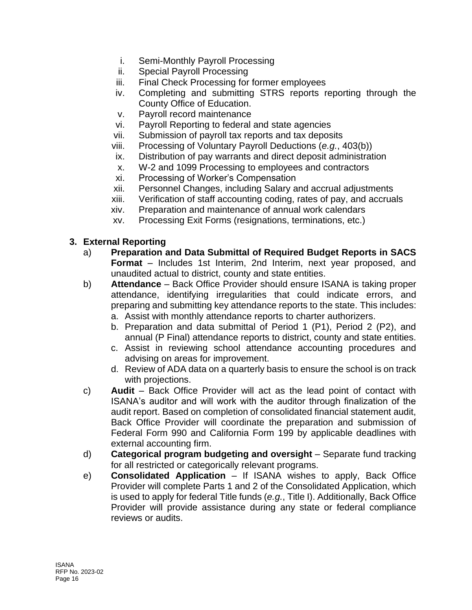- i. Semi-Monthly Payroll Processing
- ii. Special Payroll Processing
- iii. Final Check Processing for former employees
- iv. Completing and submitting STRS reports reporting through the County Office of Education.
- v. Payroll record maintenance
- vi. Payroll Reporting to federal and state agencies
- vii. Submission of payroll tax reports and tax deposits
- viii. Processing of Voluntary Payroll Deductions (*e.g.*, 403(b))
- ix. Distribution of pay warrants and direct deposit administration
- x. W-2 and 1099 Processing to employees and contractors
- xi. Processing of Worker's Compensation
- xii. Personnel Changes, including Salary and accrual adjustments
- xiii. Verification of staff accounting coding, rates of pay, and accruals
- xiv. Preparation and maintenance of annual work calendars
- xv. Processing Exit Forms (resignations, terminations, etc.)

#### **3. External Reporting**

- a) **Preparation and Data Submittal of Required Budget Reports in SACS Format** – Includes 1st Interim, 2nd Interim, next year proposed, and unaudited actual to district, county and state entities.
- b) **Attendance**  Back Office Provider should ensure ISANA is taking proper attendance, identifying irregularities that could indicate errors, and preparing and submitting key attendance reports to the state. This includes:
	- a. Assist with monthly attendance reports to charter authorizers.
	- b. Preparation and data submittal of Period 1 (P1), Period 2 (P2), and annual (P Final) attendance reports to district, county and state entities.
	- c. Assist in reviewing school attendance accounting procedures and advising on areas for improvement.
	- d. Review of ADA data on a quarterly basis to ensure the school is on track with projections.
- c) **Audit**  Back Office Provider will act as the lead point of contact with ISANA's auditor and will work with the auditor through finalization of the audit report. Based on completion of consolidated financial statement audit, Back Office Provider will coordinate the preparation and submission of Federal Form 990 and California Form 199 by applicable deadlines with external accounting firm.
- d) **Categorical program budgeting and oversight** Separate fund tracking for all restricted or categorically relevant programs.
- e) **Consolidated Application** If ISANA wishes to apply, Back Office Provider will complete Parts 1 and 2 of the Consolidated Application, which is used to apply for federal Title funds (*e.g.*, Title I). Additionally, Back Office Provider will provide assistance during any state or federal compliance reviews or audits.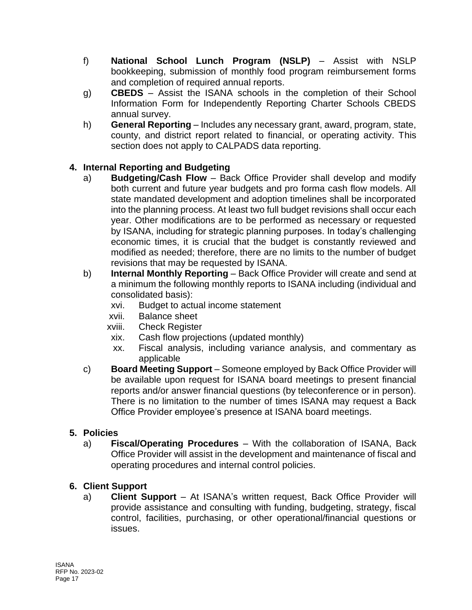- f) **National School Lunch Program (NSLP)** Assist with NSLP bookkeeping, submission of monthly food program reimbursement forms and completion of required annual reports.
- g) **CBEDS**  Assist the ISANA schools in the completion of their School Information Form for Independently Reporting Charter Schools CBEDS annual survey.
- h) **General Reporting** Includes any necessary grant, award, program, state, county, and district report related to financial, or operating activity. This section does not apply to CALPADS data reporting.

# **4. Internal Reporting and Budgeting**

- a) **Budgeting/Cash Flow** Back Office Provider shall develop and modify both current and future year budgets and pro forma cash flow models. All state mandated development and adoption timelines shall be incorporated into the planning process. At least two full budget revisions shall occur each year. Other modifications are to be performed as necessary or requested by ISANA, including for strategic planning purposes. In today's challenging economic times, it is crucial that the budget is constantly reviewed and modified as needed; therefore, there are no limits to the number of budget revisions that may be requested by ISANA.
- b) **Internal Monthly Reporting** Back Office Provider will create and send at a minimum the following monthly reports to ISANA including (individual and consolidated basis):
	- xvi. Budget to actual income statement
	- xvii. Balance sheet
	- xviii. Check Register
	- xix. Cash flow projections (updated monthly)
	- xx. Fiscal analysis, including variance analysis, and commentary as applicable
- c) **Board Meeting Support**  Someone employed by Back Office Provider will be available upon request for ISANA board meetings to present financial reports and/or answer financial questions (by teleconference or in person). There is no limitation to the number of times ISANA may request a Back Office Provider employee's presence at ISANA board meetings.

# **5. Policies**

a) **Fiscal/Operating Procedures** – With the collaboration of ISANA, Back Office Provider will assist in the development and maintenance of fiscal and operating procedures and internal control policies.

# **6. Client Support**

a) **Client Support** – At ISANA's written request, Back Office Provider will provide assistance and consulting with funding, budgeting, strategy, fiscal control, facilities, purchasing, or other operational/financial questions or issues.